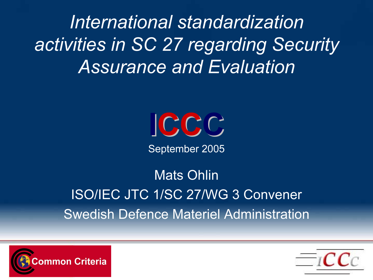International standardization activities in SC 27 regarding Security Assurance and Evaluation



September 2005

Mats OhlinISO/IEC JTC 1/SC 27/WG 3 ConvenerSwedish Defence Materiel Administration



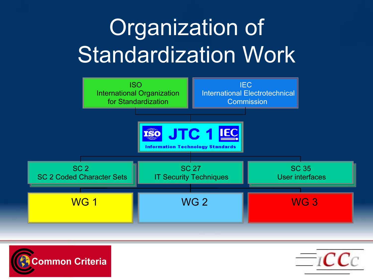# Organization of Standardization Work





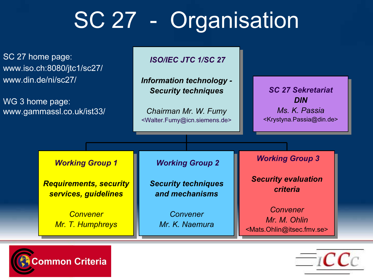# SC 27 - Organisation

SC 27 home page: www.iso.ch:8080/jtc1/sc27/ www.din.de/ni/sc27/

WG 3 home page: www.gammassl.co.uk/ist33/

#### ISO/IEC JTC 1/SC 27

Information technology - Information technology - Security techniques Security techniques

Chairman Mr. W. Fumy Chairman Mr. W. Fumy <Walter.Fumy@icn.siemens.de> <Walter.Fumy@icn.siemens.de>

SC 27 Sekretariat DIN Ms. K. Passia <Krystyna.Passia@din.de> <Krystyna.Passia@din.de>

#### Working Group 1 Working Group 1

Requirements, security Requirements, security services, guidelines services, guidelines

> <mark>Convener</mark> Mr. T. Humphreys Mr. T. Humphreys

#### Working Group 2 Working Group 2

Security techniques Security techniques and mechanisms

> Convener Mr. K. Naemura

Working Group 3 Working Group 3

Security evaluation Security evaluation criteria

Convener Mr. M. Ohlin <Mats.Ohlin@itsec.fmv.se> <Mats.Ohlin@itsec.fmv.se>



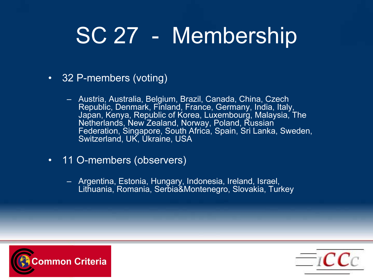# SC 27 - Membership

- $\bullet$  32 P-members (voting)
	- Austria, Australia, Belgium, Brazil, Canada, China, Czech Republic, Denmark, Finland, France, Germany, India, Italy, Japan, Kenya, Republic of Korea, Luxembourg, Malaysia, The Netherlands, New Zealand, Norway, Poland, Russian Federation, Singapore, South Africa, Spain, Sri Lanka, Sweden, Switzerland, UK, Ukraine, USA
- $\bullet$  . 11 O-members (observers)
	- Argentina, Estonia, Hungary, Indonesia, Ireland, Israel, Lithuania, Romania, Serbia&Montenegro, Slovakia, Turkey



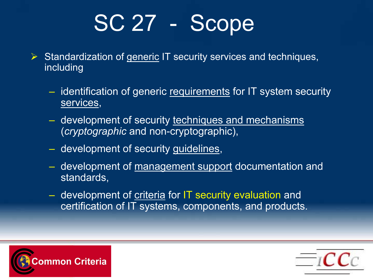# SC 27 - Scope

- $\triangleright$  Standardization of generic IT security services and techniques, including
	- identification of generic <u>requirements</u> for IT system security services,
	- $-$  development of security <u>techniques and mechanisms</u> (cryptographic and non-cryptographic),
	- development of security <u>guidelines</u>,
	- development of <u>management support</u> documentation and standards,
	- development of <u>criteria</u> for IT security evaluation and certification of IT systems, components, and products.



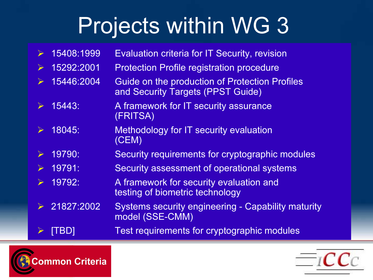# Projects within WG 3

 $\blacktriangleright$  15408:1999 Evaluation criteria for IT Security, revision  $\triangleright$  15292:2001 Protection Profile registration procedure  $\sum_{i=1}^{n}$  15446:2004 Guide on the production of Protection Profiles and Security Targets (PPST Guide)  $\blacktriangleright$  15443: A framework for IT security assurance (FRITSA)  $\blacktriangleright$  18045: Methodology for IT security evaluation (CEM)  $\blacktriangleright$  19790: Security requirements for cryptographic modules  $\blacktriangleright$  19791: Security assessment of operational systems  $\blacktriangleright$  19792: A framework for security evaluation and testing of biometric technology  $\blacktriangleright$  21827:2002 Systems security engineering - Capability maturity model (SSE-CMM)  $\blacktriangleright$ [TBD] Test requirements for cryptographic modules



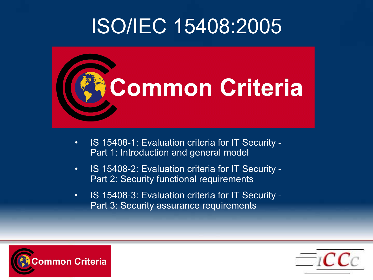### ISO/IEC 15408:2005



- $\bullet$  IS 15408-1: Evaluation criteria for IT Security - Part 1: Introduction and general model
- $\bullet$  IS 15408-2: Evaluation criteria for IT Security - Part 2: Security functional requirements
- $\bullet$  IS 15408-3: Evaluation criteria for IT Security - Part 3: Security assurance requirements



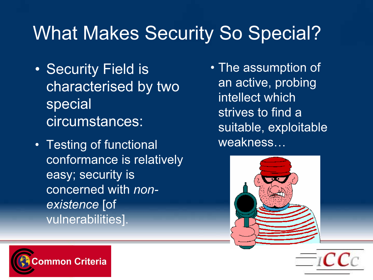### What Makes Security So Special?

- Security Field is characterised by two special circumstances:
- Testing of functional conformance is relatively easy; security is concerned with nonexistence [of vulnerabilities].
- The assumption of an active, probing intellect which strives to find a suitable, exploitable weakness…





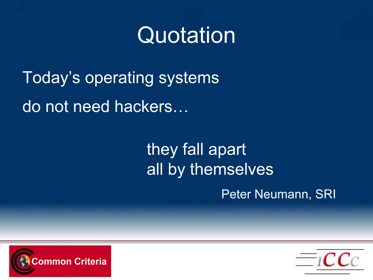## Quotation

Today's operating systems do not need hackers…

### they fall apart all by themselves

Peter Neumann, SRI



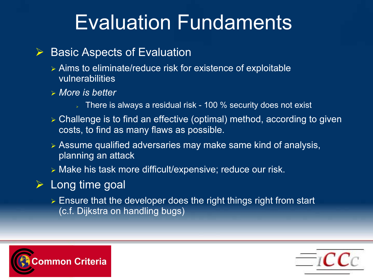## Evaluation Fundaments

#### $\blacktriangleright$ Basic Aspects of Evaluation

- Aims to eliminate/reduce risk for existence of exploitable vulnerabilities
- More is better
	- $\Box$  There is always a residual risk 100  $\%$  security does not exist
- Challenge is to find an effective (optimal) method, according to given costs, to find as many flaws as possible.
- Assume qualified adversaries may make same kind of analysis, planning an attack
- Make his task more difficult/expensive; reduce our risk.
- $\triangleright$  Long time goal
	- $\triangleright$  Ensure that the developer does the right things right from start (c.f. Dijkstra on handling bugs)



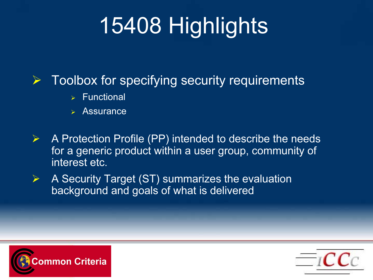# 15408 Highlights

#### $\sum_{i=1}^{n}$ Toolbox for specifying security requirements

- $\triangleright$  Functional
- Assurance
- $\begin{picture}(120,20) \put(0,0){\line(1,0){10}} \put(15,0){\line(1,0){10}} \put(15,0){\line(1,0){10}} \put(15,0){\line(1,0){10}} \put(15,0){\line(1,0){10}} \put(15,0){\line(1,0){10}} \put(15,0){\line(1,0){10}} \put(15,0){\line(1,0){10}} \put(15,0){\line(1,0){10}} \put(15,0){\line(1,0){10}} \put(15,0){\line(1,0){10}} \put(15,0){\line($  A Protection Profile (PP) intended to describe the needs for a generic product within a user group, community of interest etc.
- $\blacktriangleright$  A Security Target (ST) summarizes the evaluation background and goals of what is delivered



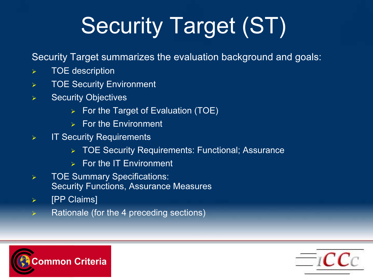# Security Target (ST)

Security Target summarizes the evaluation background and goals:

- $\blacktriangleright$ TOE description
- $\blacktriangleright$ TOE Security Environment
- $\blacktriangleright$  Security Objectives
	- $\triangleright$  For the Target of Evaluation (TOE)
	- $\triangleright$  For the Environment
- $\blacktriangleright$  IT Security Requirements
	- TOE Security Requirements: Functional; Assurance
	- $\triangleright$  For the IT Environment
- $\blacktriangleright$  TOE Summary Specifications: Security Functions, Assurance Measures
- $\blacktriangleright$ [PP Claims]
- $\blacktriangleright$ Rationale (for the 4 preceding sections)



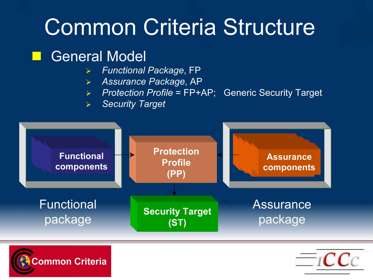# Common Criteria Structure

#### **Service Service** General Model

- **▶ Functional Package, FP**
- $\blacktriangleright$ Assurance Package, AP
- $\blacktriangleright$ Protection Profile = FP+AP; Generic Security Target
- $\blacktriangleright$ Security Target





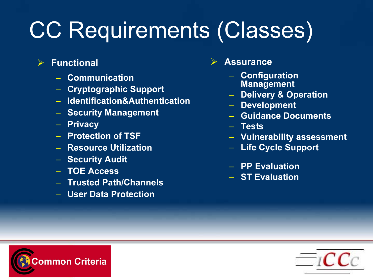# CC Requirements (Classes)

- $\begin{array}{c} \diagup \end{array}$  Functional
	- Communication
	- Cryptographic Support
	- Identification&Authentication
	- Security Management
	- Privacy
	- Protection of TSF
	- Resource Utilization
	- Security Audit
	- TOE Access
	- Trusted Path/Channels
	- User Data Protection

#### $\sum_{i=1}^{n}$ Assurance

- Configuration Management
- Delivery & Operation
- Development
- Guidance Documents
- Tests
- Vulnerability assessment
- Life Cycle Support
- PP Evaluation
- ST Evaluation



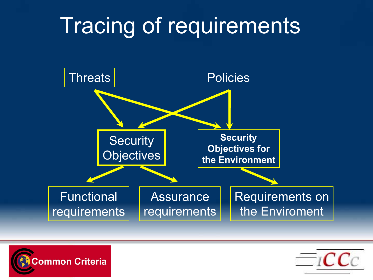# Tracing of requirements





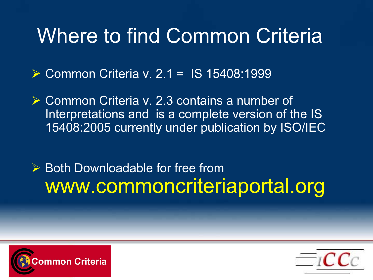### Where to find Common Criteria

Common Criteria v. 2.1 = IS 15408:1999

**► Common Criteria v. 2.3 contains a number of** Interpretations and is a complete version of the IS 15408:2005 currently under publication by ISO/IEC

 $\triangleright$  Both Downloadable for free from www.commoncriteriaportal.org



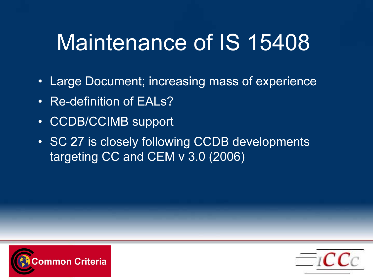# Maintenance of IS 15408

- $\bullet$ Large Document; increasing mass of experience
- $\bullet$ Re-definition of EALs?
- $\bullet$ CCDB/CCIMB support
- SC 27 is closely following CCDB developments targeting CC and CEM v 3.0 (2006)



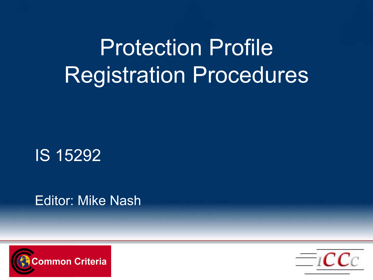# Protection ProfileRegistration Procedures

IS 15292

Editor: Mike Nash



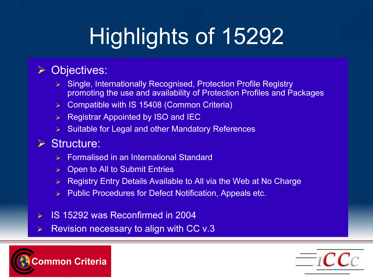# Highlights of 15292

#### $\blacktriangleright$ Objectives:

- Single, Internationally Recognised, Protection Profile Registry promoting the use and availability of Protection Profiles and Packages
- Compatible with IS 15408 (Common Criteria)
- $\triangleright$  Registrar Appointed by ISO and IEC
- $\triangleright$  Suitable for Legal and other Mandatory References

#### Structure:

- ➤ Formalised in an International Standard
- $\triangleright$  Open to All to Submit Entries
- $\blacktriangleright$ Registry Entry Details Available to All via the Web at No Charge
- $\triangleright$  Public Procedures for Defect Notification, Appeals etc.
- $\blacktriangleright$ IS 15292 was Reconfirmed in 2004
- $\blacktriangleright$ Revision necessary to align with CC v.3



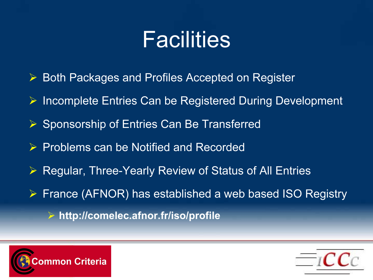## Facilities

- $\blacktriangleright$ Both Packages and Profiles Accepted on Register
- $\blacktriangleright$ Incomplete Entries Can be Registered During Development
- $\triangleright$  Sponsorship of Entries Can Be Transferred
- $\blacktriangleright$ Problems can be Notified and Recorded
- $\blacktriangleright$ Regular, Three-Yearly Review of Status of All Entries
- $\triangleright$  France (AFNOR) has established a web based ISO Registry
	- $\triangleright$  http://comelec.afnor.fr/iso/profile



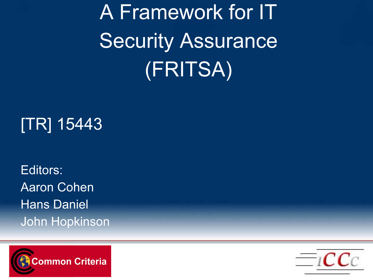A Framework for IT Security Assurance (FRITSA)

### [TR] 15443

Editors:Aaron CohenHans DanielJohn Hopkinson



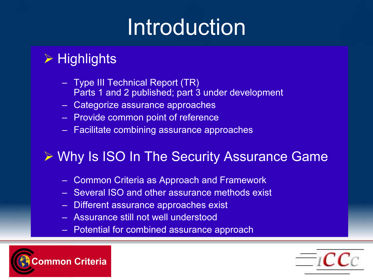# Introduction

### $\triangleright$  Highlights

- Type III Technical Report (TR) Parts 1 and 2 published; part 3 under development
- Categorize assurance approaches
- Provide common point of reference
- Facilitate combining assurance approaches

### Why Is ISO In The Security Assurance Game

- –Common Criteria as Approach and Framework
- Several ISO and other assurance methods exist
- Different assurance approaches exist
- Assurance still not well understood
- Potential for combined assurance approach



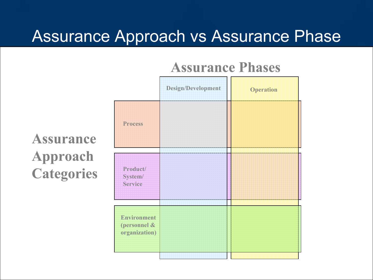### Assurance Approach vs Assurance Phase

### Assurance Phases

## ProcessProduct/System/ ServiceDesign/Development Operation Environment (personnel & organization)

### Assurance Approach **Categories**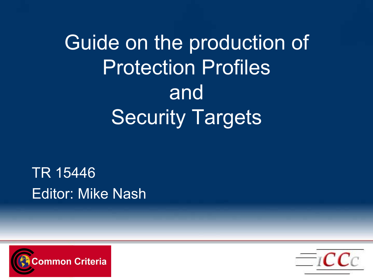Guide on the production of Protection ProfilesandSecurity Targets

TR 15446Editor: Mike Nash



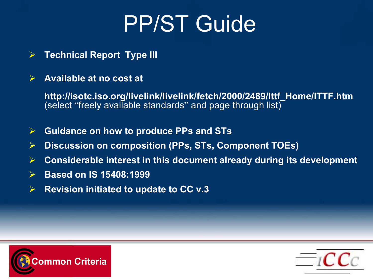# PP/ST Guide

- $\sum_{i=1}^{n}$ Technical Report Type III
- $\sum_{i=1}^{n}$ Available at no cost at

http://isotc.iso.org/livelink/livelink/fetch/2000/2489/Ittf\_Home/ITTF.htm (select "freely available standards " and page through list)

- $\sum_{i=1}^{n}$ Guidance on how to produce PPs and STs
- $\blacktriangleright$ Discussion on composition (PPs, STs, Component TOEs)
- $\begin{array}{c}\n\diagup\n\end{array}$ Considerable interest in this document already during its development
- $\sum_{i=1}^{n}$ Based on IS 15408:1999
- $\sum_{i=1}^{n}$ Revision initiated to update to CC v.3



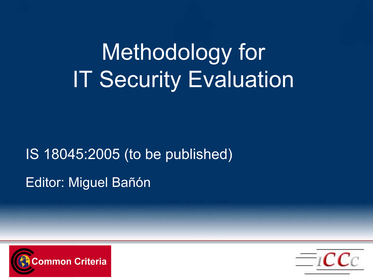# Methodology for IT Security Evaluation

## IS 18045:2005 (to be published) Editor: Miguel Bañón



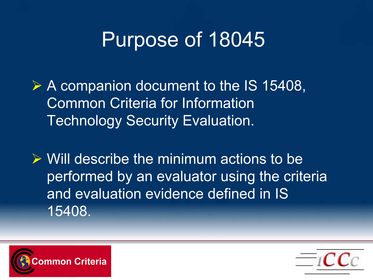### Purpose of 18045

A companion document to the IS 15408, Common Criteria for Information Technology Security Evaluation.

 $\triangleright$  Will describe the minimum actions to be performed by an evaluator using the criteria and evaluation evidence defined in IS 15408.



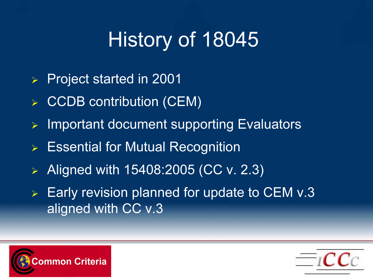## History of 18045

- $\blacktriangleright$ Project started in 2001
- $\triangleright$  CCDB contribution (CEM)
- $\blacktriangleright$ Important document supporting Evaluators
- Essential for Mutual Recognition
- $\blacktriangleright$ Aligned with 15408:2005 (CC v. 2.3)
- $\triangleright$  Early revision planned for update to CEM v.3 aligned with CC v.3



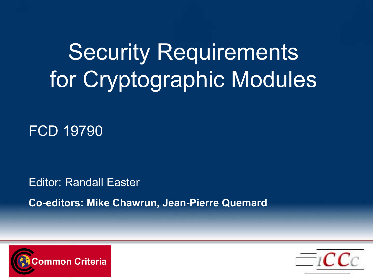# Security Requirements for Cryptographic Modules

### FCD 19790

Editor: Randall Easter

Co-editors: Mike Chawrun, Jean-Pierre Quemard



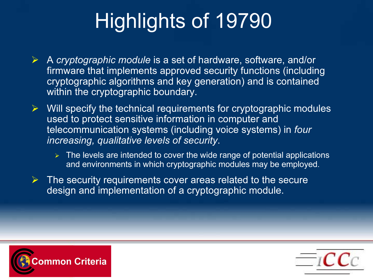## Highlights of 19790

- $\triangleright$  A cryptographic module is a set of hardware, software, and/or firmware that implements approved security functions (including cryptographic algorithms and key generation) and is contained within the cryptographic boundary.
- $\triangleright$  Will specify the technical requirements for cryptographic modules used to protect sensitive information in computer and telecommunication systems (including voice systems) in four increasing, qualitative levels of security.
	- $\triangleright$  The levels are intended to cover the wide range of potential applications and environments in which cryptographic modules may be employed.
- $\triangleright$  The security requirements cover areas related to the secure design and implementation of a cryptographic module.



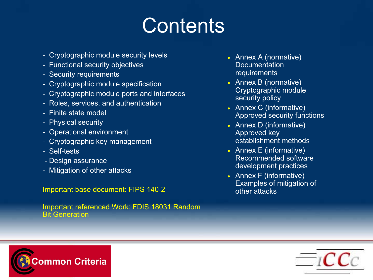### **Contents**

- Cryptographic module security levels
- Functional security objectives
- Security requirements
- Cryptographic module specification
- Cryptographic module ports and interfaces
- Roles, services, and authentication
- Finite state model
- Physical security
- Operational environment
- Cryptographic key management
- Self-tests
- Design assurance
- Mitigation of other attacks

Important base document: FIPS 140-2

Important referenced Work: FDIS 18031 Random Bit Generation

- Annex A (normative) **Documentation** requirements
- Annex B (normative) Cryptographic module security policy
- Annex C (informative) Approved security functions
- Annex D (informative) Approved key establishment methods
- Annex E (informative) Recommended software development practices
- Annex F (informative) Examples of mitigation of other attacks



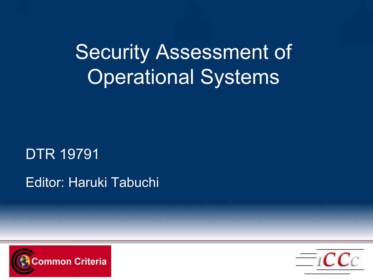Security Assessment of Operational Systems

### DTR 19791

### Editor: Haruki Tabuchi



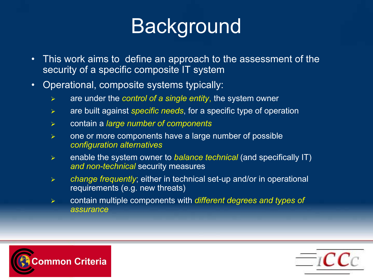## **Background**

- $\bullet$  This work aims to define an approach to the assessment of the security of a specific composite IT system
- $\bullet$  Operational, composite systems typically:
	- $\blacktriangleright$ are under the *control of a single entity*, the system owner
	- $\blacktriangleright$ are built against specific needs, for a specific type of operation
	- $\blacktriangleright$ contain a large number of components
	- $\blacktriangleright$  one or more components have a large number of possible configuration alternatives
	- $\blacktriangleright$ enable the system owner to *balance technical* (and specifically IT) and non-technical security measures
	- $\blacktriangleright$  change frequently; either in technical set-up and/or in operational requirements (e.g. new threats)
	- $\blacktriangleright$  contain multiple components with different degrees and types of assurance



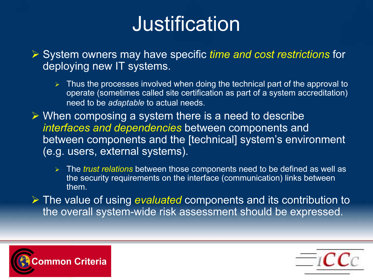## Justification

 $\triangleright$  System owners may have specific time and cost restrictions for deploying new IT systems.

- $\triangleright$  Thus the processes involved when doing the technical part of the approval to operate (sometimes called site certification as part of a system accreditation) need to be adaptable to actual needs.
- $\triangleright$  When composing a system there is a need to describe interfaces and dependencies between components and between components and the [technical] system's environment (e.g. users, external systems).
	- > The *trust relations* between those components need to be defined as well as the security requirements on the interface (communication) links between them.
- $\triangleright$  The value of using evaluated components and its contribution to the overall system-wide risk assessment should be expressed.



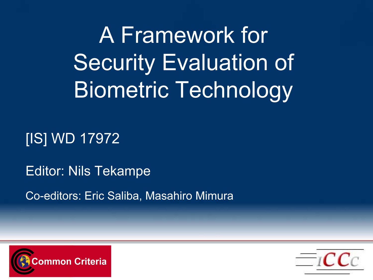A Framework for Security Evaluation of Biometric Technology

### [IS] WD 17972

Editor: Nils Tekampe

Co-editors: Eric Saliba, Masahiro Mimura



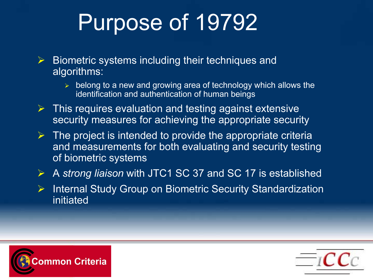# Purpose of 19792

- $\sum_{i=1}^{n}$  Biometric systems including their techniques and algorithms:
	- $\triangleright$  belong to a new and growing area of technology which allows the identification and authentication of human beings
- $\sum_{i=1}^{n}$  This requires evaluation and testing against extensive security measures for achieving the appropriate security
- $\triangleright$  The project is intended to provide the appropriate criteria and measurements for both evaluating and security testing of biometric systems
- $\sum_{i=1}^{n}$ A strong liaison with JTC1 SC 37 and SC 17 is established
- $\triangleright$ Internal Study Group on Biometric Security Standardization initiated



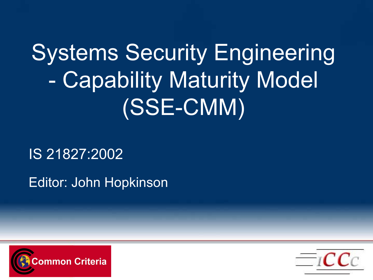# Systems Security Engineering Capability Maturity Model (SSE-CMM)

IS 21827:2002

Editor: John Hopkinson



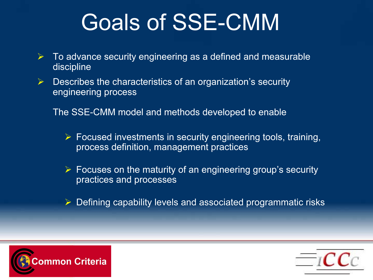# Goals of SSE-CMM

- $\blacktriangleright$  To advance security engineering as a defined and measurable discipline
- $\sum_{i=1}^{n}$  Describes the characteristics of an organization's security engineering process

The SSE-CMM model and methods developed to enable

- $\triangleright$  Focused investments in security engineering tools, training, process definition, management practices
- $\triangleright$  Focuses on the maturity of an engineering group's security practices and processes
- $\triangleright$  Defining capability levels and associated programmatic risks



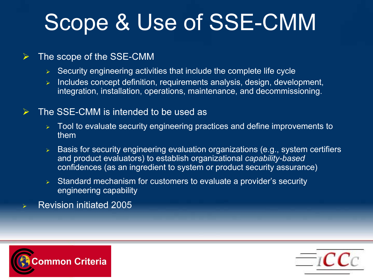# Scope & Use of SSE-CMM

#### $\blacktriangleright$ The scope of the SSE-CMM

- $\triangleright$  Security engineering activities that include the complete life cycle
- $\blacktriangleright$  Includes concept definition, requirements analysis, design, development, integration, installation, operations, maintenance, and decommissioning.

#### $\blacktriangleright$ The SSE-CMM is intended to be used as

- Tool to evaluate security engineering practices and define improvements to them
- $\triangleright$   $\,$  Basis for security engineering evaluation organizations (e.g., system certifiers and product evaluators) to establish organizational capability-based confidences (as an ingredient to system or product security assurance)
- $\triangleright$  Standard mechanism for customers to evaluate a provider's security engineering capability
- $\blacktriangleright$ Revision initiated 2005



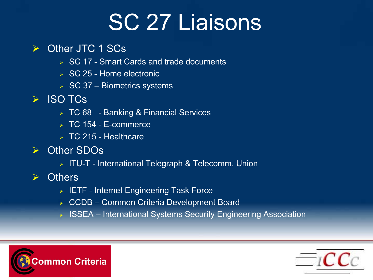# SC 27 Liaisons

#### $\blacktriangleright$ Other JTC 1 SCs

- **► SC 17 Smart Cards and trade documents**
- SC 25 Home electronic
- **▶ SC 37 Biometrics systems**
- ISO TCs
	- TC 68 Banking & Financial Services
	- TC 154 E-commerce
	- $\triangleright$  TC 215 Healthcare
- Other SDOs
	- ITU-T International Telegraph & Telecomm. Union
- **▶ Others** 
	- $\triangleright$  IETF Internet Engineering Task Force
	- ➤ CCDB – Common Criteria Development Board
	- ⋗ ISSEA – International Systems Security Engineering Association